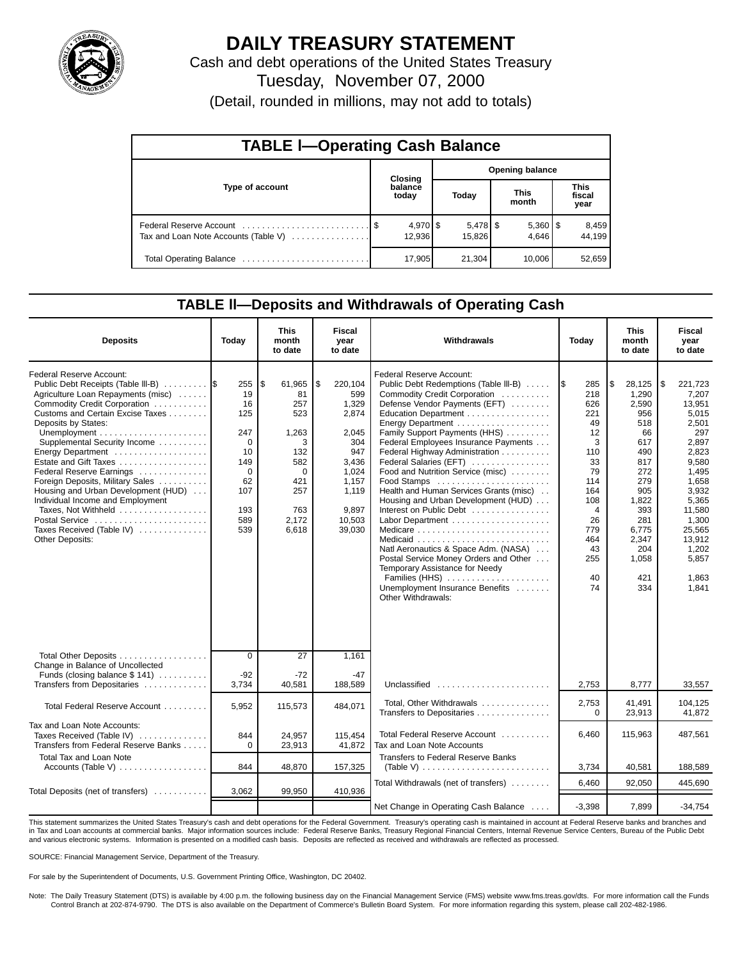

## **DAILY TREASURY STATEMENT**

Cash and debt operations of the United States Treasury Tuesday, November 07, 2000 (Detail, rounded in millions, may not add to totals)

| <b>TABLE I-Operating Cash Balance</b> |  |                        |                        |                      |  |                       |  |                               |  |  |
|---------------------------------------|--|------------------------|------------------------|----------------------|--|-----------------------|--|-------------------------------|--|--|
|                                       |  | Closing                | <b>Opening balance</b> |                      |  |                       |  |                               |  |  |
| Type of account                       |  | balance<br>today       |                        | Today                |  | <b>This</b><br>month  |  | <b>This</b><br>fiscal<br>year |  |  |
| Tax and Loan Note Accounts (Table V)  |  | $4,970$ \ \$<br>12,936 |                        | $5,478$ \$<br>15.826 |  | $5,360$   \$<br>4.646 |  | 8,459<br>44.199               |  |  |
|                                       |  | 17,905                 |                        | 21,304               |  | 10,006                |  | 52,659                        |  |  |

### **TABLE ll—Deposits and Withdrawals of Operating Cash**

| <b>Deposits</b>                                                                                                                                                                                                                                                                                                                                                                                                                                                                                                   | Today                                                                                         | <b>This</b><br>month<br>to date                                                                           | Fiscal<br>year<br>to date                                                                                                     | Withdrawals                                                                                                                                                                                                                                                                                                                                                                                                                                                                                                                                                                                                                                                                                | Today                                                                                                                                      | <b>This</b><br>month<br>to date                                                                                                                                      | Fiscal<br>year<br>to date                                                                                                                                                                            |  |
|-------------------------------------------------------------------------------------------------------------------------------------------------------------------------------------------------------------------------------------------------------------------------------------------------------------------------------------------------------------------------------------------------------------------------------------------------------------------------------------------------------------------|-----------------------------------------------------------------------------------------------|-----------------------------------------------------------------------------------------------------------|-------------------------------------------------------------------------------------------------------------------------------|--------------------------------------------------------------------------------------------------------------------------------------------------------------------------------------------------------------------------------------------------------------------------------------------------------------------------------------------------------------------------------------------------------------------------------------------------------------------------------------------------------------------------------------------------------------------------------------------------------------------------------------------------------------------------------------------|--------------------------------------------------------------------------------------------------------------------------------------------|----------------------------------------------------------------------------------------------------------------------------------------------------------------------|------------------------------------------------------------------------------------------------------------------------------------------------------------------------------------------------------|--|
| Federal Reserve Account:<br>Public Debt Receipts (Table III-B)<br>Agriculture Loan Repayments (misc)<br>Commodity Credit Corporation<br>Customs and Certain Excise Taxes<br>Deposits by States:<br>Supplemental Security Income<br>Energy Department<br>Estate and Gift Taxes<br>Federal Reserve Earnings<br>Foreign Deposits, Military Sales<br>Housing and Urban Development (HUD)<br>Individual Income and Employment<br>Taxes, Not Withheld<br>Postal Service<br>Taxes Received (Table IV)<br>Other Deposits: | 255<br>19<br>16<br>125<br>247<br>$\Omega$<br>10<br>149<br>0<br>62<br>107<br>193<br>589<br>539 | l\$<br>61,965<br>81<br>257<br>523<br>1,263<br>3<br>132<br>582<br>0<br>421<br>257<br>763<br>2.172<br>6,618 | 5<br>220,104<br>599<br>1,329<br>2,874<br>2,045<br>304<br>947<br>3,436<br>1,024<br>1,157<br>1,119<br>9,897<br>10,503<br>39,030 | <b>Federal Reserve Account:</b><br>Public Debt Redemptions (Table III-B)<br>Commodity Credit Corporation<br>Defense Vendor Payments (EFT)<br>Education Department<br>Energy Department<br>Family Support Payments (HHS)<br>Federal Employees Insurance Payments<br>Federal Highway Administration<br>Federal Salaries (EFT)<br>Food and Nutrition Service (misc)<br>Food Stamps<br>Health and Human Services Grants (misc)<br>Housing and Urban Development (HUD)<br>Interest on Public Debt<br>Natl Aeronautics & Space Adm. (NASA)<br>Postal Service Money Orders and Other<br>Temporary Assistance for Needy<br>Families (HHS)<br>Unemployment Insurance Benefits<br>Other Withdrawals: | 285<br>I\$<br>218<br>626<br>221<br>49<br>12<br>3<br>110<br>33<br>79<br>114<br>164<br>108<br>4<br>26<br>779<br>464<br>43<br>255<br>40<br>74 | 28,125<br>l\$<br>1,290<br>2,590<br>956<br>518<br>66<br>617<br>490<br>817<br>272<br>279<br>905<br>1,822<br>393<br>281<br>6,775<br>2,347<br>204<br>1,058<br>421<br>334 | 221,723<br>1\$<br>7,207<br>13,951<br>5,015<br>2,501<br>297<br>2,897<br>2,823<br>9,580<br>1,495<br>1,658<br>3,932<br>5,365<br>11,580<br>1,300<br>25,565<br>13,912<br>1,202<br>5,857<br>1,863<br>1,841 |  |
| Total Other Deposits<br>Change in Balance of Uncollected<br>Funds (closing balance \$141)                                                                                                                                                                                                                                                                                                                                                                                                                         | $\overline{0}$<br>$-92$                                                                       | 27<br>$-72$                                                                                               | 1,161<br>$-47$                                                                                                                |                                                                                                                                                                                                                                                                                                                                                                                                                                                                                                                                                                                                                                                                                            |                                                                                                                                            |                                                                                                                                                                      |                                                                                                                                                                                                      |  |
| Transfers from Depositaries<br>Total Federal Reserve Account                                                                                                                                                                                                                                                                                                                                                                                                                                                      | 3,734<br>5.952                                                                                | 40,581<br>115,573                                                                                         | 188,589<br>484,071                                                                                                            | Unclassified<br>Total, Other Withdrawals                                                                                                                                                                                                                                                                                                                                                                                                                                                                                                                                                                                                                                                   | 2,753<br>2,753                                                                                                                             | 8,777<br>41.491                                                                                                                                                      | 33,557<br>104,125                                                                                                                                                                                    |  |
| Tax and Loan Note Accounts:<br>Taxes Received (Table IV)<br>Transfers from Federal Reserve Banks                                                                                                                                                                                                                                                                                                                                                                                                                  | 844<br>$\Omega$                                                                               | 24,957<br>23,913                                                                                          | 115,454<br>41,872                                                                                                             | Transfers to Depositaries<br>Total Federal Reserve Account<br>Tax and Loan Note Accounts                                                                                                                                                                                                                                                                                                                                                                                                                                                                                                                                                                                                   | 0<br>6,460                                                                                                                                 | 23,913<br>115.963                                                                                                                                                    | 41,872<br>487.561                                                                                                                                                                                    |  |
| <b>Total Tax and Loan Note</b><br>Accounts (Table V) $\dots \dots \dots \dots \dots$                                                                                                                                                                                                                                                                                                                                                                                                                              | 844                                                                                           | 48,870                                                                                                    | 157,325                                                                                                                       | <b>Transfers to Federal Reserve Banks</b><br>(Table V) $\ldots \ldots \ldots \ldots \ldots \ldots \ldots \ldots$                                                                                                                                                                                                                                                                                                                                                                                                                                                                                                                                                                           | 3,734                                                                                                                                      | 40,581                                                                                                                                                               | 188,589                                                                                                                                                                                              |  |
| Total Deposits (net of transfers)                                                                                                                                                                                                                                                                                                                                                                                                                                                                                 | 3,062                                                                                         | 99,950                                                                                                    | 410,936                                                                                                                       | Total Withdrawals (net of transfers)                                                                                                                                                                                                                                                                                                                                                                                                                                                                                                                                                                                                                                                       | 6.460                                                                                                                                      | 92.050                                                                                                                                                               | 445.690                                                                                                                                                                                              |  |
|                                                                                                                                                                                                                                                                                                                                                                                                                                                                                                                   |                                                                                               |                                                                                                           |                                                                                                                               | Net Change in Operating Cash Balance                                                                                                                                                                                                                                                                                                                                                                                                                                                                                                                                                                                                                                                       | $-3,398$                                                                                                                                   | 7.899                                                                                                                                                                | $-34.754$                                                                                                                                                                                            |  |

This statement summarizes the United States Treasury's cash and debt operations for the Federal Government. Treasury's operating cash is maintained in account at Federal Reserve banks and branches and in Tax and Loan accounts at commercial banks. Major information sources include: Federal Reserve Banks, Treasury Regional Financial Centers, Internal Revenue Service Centers, Bureau of the Public Debt<br>and various electroni

SOURCE: Financial Management Service, Department of the Treasury.

For sale by the Superintendent of Documents, U.S. Government Printing Office, Washington, DC 20402.

Note: The Daily Treasury Statement (DTS) is available by 4:00 p.m. the following business day on the Financial Management Service (FMS) website www.fms.treas.gov/dts. For more information call the Funds<br>Control Branch at 2